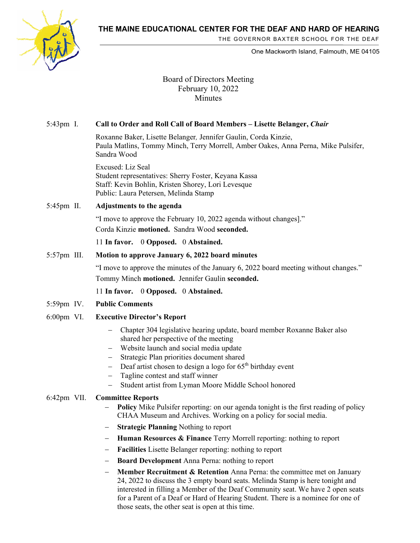**THE MAINE EDUCATIONAL CENTER FOR THE DEAF AND HARD OF HEARING**



THE GOVERNOR BAXTER SCHOOL FOR THE DEAF

One Mackworth Island, Falmouth, ME 04105

Board of Directors Meeting February 10, 2022 **Minutes** 

## 5:43pm I. **Call to Order and Roll Call of Board Members – Lisette Belanger,** *Chair*

Roxanne Baker, Lisette Belanger*,* Jennifer Gaulin, Corda Kinzie, Paula Matlins, Tommy Minch, Terry Morrell, Amber Oakes, Anna Perna, Mike Pulsifer, Sandra Wood

Excused: Liz Seal Student representatives: Sherry Foster, Keyana Kassa Staff: Kevin Bohlin, Kristen Shorey, Lori Levesque Public: Laura Petersen, Melinda Stamp

# 5:45pm II. **Adjustments to the agenda**

"I move to approve the February 10, 2022 agenda without changes]." Corda Kinzie **motioned.** Sandra Wood **seconded.**

11 **In favor.** 0 **Opposed.** 0 **Abstained.** 

### 5:57pm III. **Motion to approve January 6, 2022 board minutes**

"I move to approve the minutes of the January 6, 2022 board meeting without changes." Tommy Minch **motioned.** Jennifer Gaulin **seconded.**

11 **In favor.** 0 **Opposed.** 0 **Abstained.** 

5:59pm IV. **Public Comments**

### 6:00pm VI. **Executive Director's Report**

- − Chapter 304 legislative hearing update, board member Roxanne Baker also shared her perspective of the meeting
- − Website launch and social media update
- − Strategic Plan priorities document shared
- − Deaf artist chosen to design a logo for 65<sup>th</sup> birthday event
- − Tagline contest and staff winner
- − Student artist from Lyman Moore Middle School honored

### 6:42pm VII. **Committee Reports**

- − **Policy** Mike Pulsifer reporting: on our agenda tonight is the first reading of policy CHAA Museum and Archives. Working on a policy for social media.
- − **Strategic Planning** Nothing to report
- − **Human Resources & Finance** Terry Morrell reporting: nothing to report
- − **Facilities** Lisette Belanger reporting: nothing to report
- Board Development Anna Perna: nothing to report
- **Member Recruitment & Retention** Anna Perna: the committee met on January 24, 2022 to discuss the 3 empty board seats. Melinda Stamp is here tonight and interested in filling a Member of the Deaf Community seat. We have 2 open seats for a Parent of a Deaf or Hard of Hearing Student. There is a nominee for one of those seats, the other seat is open at this time.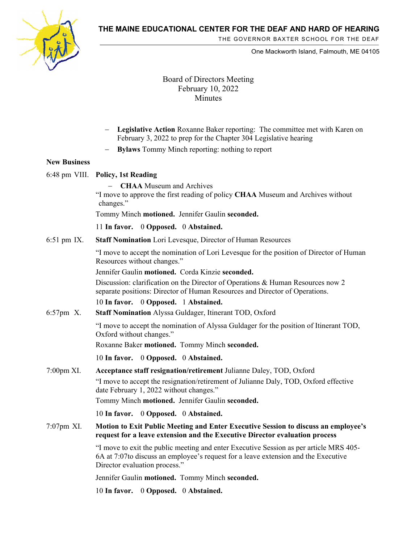**THE MAINE EDUCATIONAL CENTER FOR THE DEAF AND HARD OF HEARING**



THE GOVERNOR BAXTER SCHOOL FOR THE DEAF

One Mackworth Island, Falmouth, ME 04105

Board of Directors Meeting February 10, 2022 Minutes

- − **Legislative Action** Roxanne Baker reporting: The committee met with Karen on February 3, 2022 to prep for the Chapter 304 Legislative hearing
- − **Bylaws** Tommy Minch reporting: nothing to report

### **New Business**

|               | 6:48 pm VIII. Policy, 1st Reading                                                                                                                                                                             |
|---------------|---------------------------------------------------------------------------------------------------------------------------------------------------------------------------------------------------------------|
|               | <b>CHAA</b> Museum and Archives<br>"I move to approve the first reading of policy CHAA Museum and Archives without<br>changes."                                                                               |
|               | Tommy Minch motioned. Jennifer Gaulin seconded.                                                                                                                                                               |
|               | 11 In favor. 0 Opposed. 0 Abstained.                                                                                                                                                                          |
| $6:51$ pm IX. | <b>Staff Nomination</b> Lori Levesque, Director of Human Resources                                                                                                                                            |
|               | "I move to accept the nomination of Lori Levesque for the position of Director of Human<br>Resources without changes."                                                                                        |
|               | Jennifer Gaulin motioned. Corda Kinzie seconded.                                                                                                                                                              |
|               | Discussion: clarification on the Director of Operations & Human Resources now 2<br>separate positions: Director of Human Resources and Director of Operations.                                                |
|               | 10 In favor. 0 Opposed. 1 Abstained.                                                                                                                                                                          |
| 6:57pm X.     | Staff Nomination Alyssa Guldager, Itinerant TOD, Oxford                                                                                                                                                       |
|               | "I move to accept the nomination of Alyssa Guldager for the position of Itinerant TOD,<br>Oxford without changes."                                                                                            |
|               | Roxanne Baker motioned. Tommy Minch seconded.                                                                                                                                                                 |
|               | 10 In favor. 0 Opposed. 0 Abstained.                                                                                                                                                                          |
| 7:00pm XI.    | Acceptance staff resignation/retirement Julianne Daley, TOD, Oxford                                                                                                                                           |
|               | "I move to accept the resignation/retirement of Julianne Daly, TOD, Oxford effective<br>date February 1, 2022 without changes."                                                                               |
|               | Tommy Minch motioned. Jennifer Gaulin seconded.                                                                                                                                                               |
|               | 10 In favor. 0 Opposed. 0 Abstained.                                                                                                                                                                          |
| 7:07pm XI.    | <b>Motion to Exit Public Meeting and Enter Executive Session to discuss an employee's</b><br>request for a leave extension and the Executive Director evaluation process                                      |
|               | "I move to exit the public meeting and enter Executive Session as per article MRS 405-<br>6A at 7:07to discuss an employee's request for a leave extension and the Executive<br>Director evaluation process." |
|               | Jennifer Gaulin motioned. Tommy Minch seconded.                                                                                                                                                               |
|               | 10 In favor. 0 Opposed. 0 Abstained.                                                                                                                                                                          |